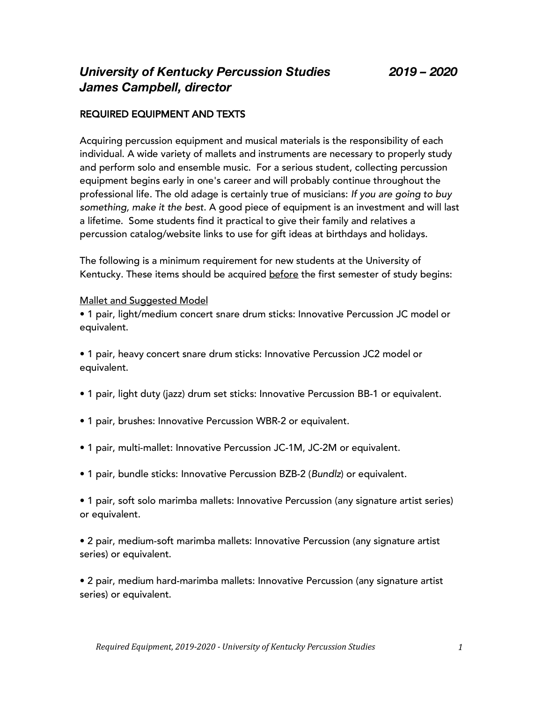# *University of Kentucky Percussion Studies 2019 – 2020 James Campbell, director*

## REQUIRED EQUIPMENT AND TEXTS

Acquiring percussion equipment and musical materials is the responsibility of each individual. A wide variety of mallets and instruments are necessary to properly study and perform solo and ensemble music. For a serious student, collecting percussion equipment begins early in one's career and will probably continue throughout the professional life. The old adage is certainly true of musicians: *If you are going to buy something, make it the best*. A good piece of equipment is an investment and will last a lifetime. Some students find it practical to give their family and relatives a percussion catalog/website links to use for gift ideas at birthdays and holidays.

The following is a minimum requirement for new students at the University of Kentucky. These items should be acquired before the first semester of study begins:

#### Mallet and Suggested Model

• 1 pair, light/medium concert snare drum sticks: Innovative Percussion JC model or equivalent.

• 1 pair, heavy concert snare drum sticks: Innovative Percussion JC2 model or equivalent.

- 1 pair, light duty (jazz) drum set sticks: Innovative Percussion BB-1 or equivalent.
- 1 pair, brushes: Innovative Percussion WBR-2 or equivalent.
- 1 pair, multi-mallet: Innovative Percussion JC-1M, JC-2M or equivalent.
- 1 pair, bundle sticks: Innovative Percussion BZB-2 (*Bundlz*) or equivalent.

• 1 pair, soft solo marimba mallets: Innovative Percussion (any signature artist series) or equivalent.

• 2 pair, medium-soft marimba mallets: Innovative Percussion (any signature artist series) or equivalent.

• 2 pair, medium hard-marimba mallets: Innovative Percussion (any signature artist series) or equivalent.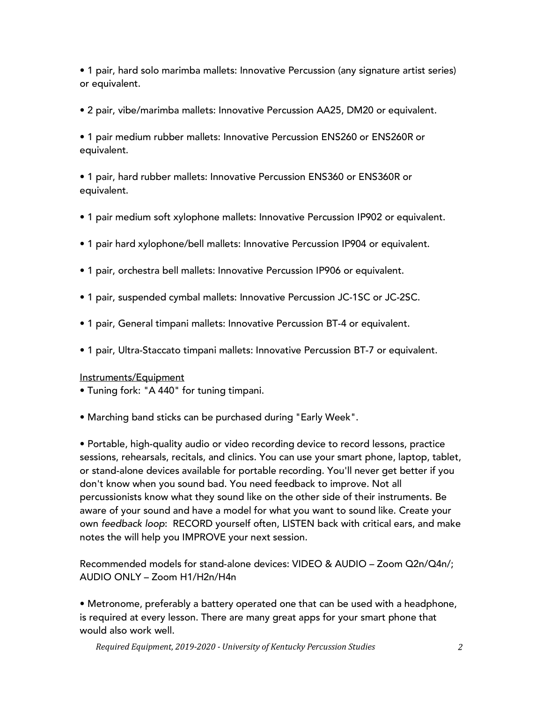• 1 pair, hard solo marimba mallets: Innovative Percussion (any signature artist series) or equivalent.

• 2 pair, vibe/marimba mallets: Innovative Percussion AA25, DM20 or equivalent.

• 1 pair medium rubber mallets: Innovative Percussion ENS260 or ENS260R or equivalent.

• 1 pair, hard rubber mallets: Innovative Percussion ENS360 or ENS360R or equivalent.

- 1 pair medium soft xylophone mallets: Innovative Percussion IP902 or equivalent.
- 1 pair hard xylophone/bell mallets: Innovative Percussion IP904 or equivalent.
- 1 pair, orchestra bell mallets: Innovative Percussion IP906 or equivalent.
- 1 pair, suspended cymbal mallets: Innovative Percussion JC-1SC or JC-2SC.
- 1 pair, General timpani mallets: Innovative Percussion BT-4 or equivalent.
- 1 pair, Ultra-Staccato timpani mallets: Innovative Percussion BT-7 or equivalent.

## Instruments/Equipment

- Tuning fork: "A 440" for tuning timpani.
- Marching band sticks can be purchased during "Early Week".

• Portable, high-quality audio or video recording device to record lessons, practice sessions, rehearsals, recitals, and clinics. You can use your smart phone, laptop, tablet, or stand-alone devices available for portable recording. You'll never get better if you don't know when you sound bad. You need feedback to improve. Not all percussionists know what they sound like on the other side of their instruments. Be aware of your sound and have a model for what you want to sound like. Create your own *feedback loop*: RECORD yourself often, LISTEN back with critical ears, and make notes the will help you IMPROVE your next session.

Recommended models for stand-alone devices: VIDEO & AUDIO – Zoom Q2n/Q4n/; AUDIO ONLY – Zoom H1/H2n/H4n

• Metronome, preferably a battery operated one that can be used with a headphone, is required at every lesson. There are many great apps for your smart phone that would also work well.

*Required Equipment, 2019-2020 - University of Kentucky Percussion Studies 2*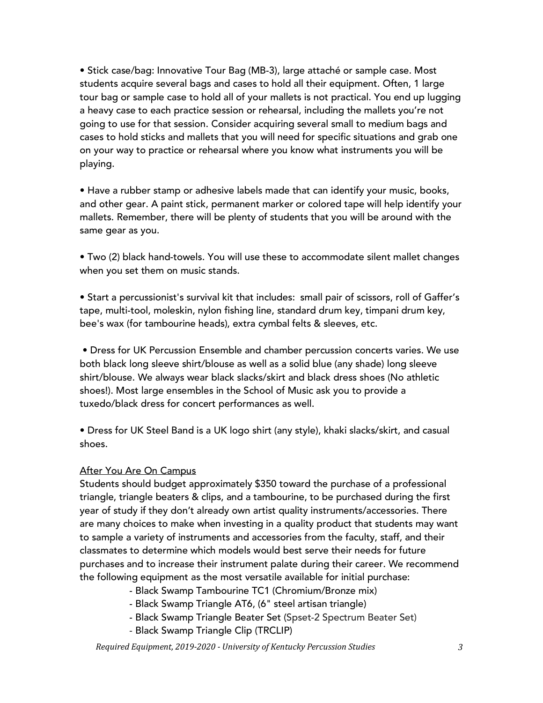• Stick case/bag: Innovative Tour Bag (MB-3), large attaché or sample case. Most students acquire several bags and cases to hold all their equipment. Often, 1 large tour bag or sample case to hold all of your mallets is not practical. You end up lugging a heavy case to each practice session or rehearsal, including the mallets you're not going to use for that session. Consider acquiring several small to medium bags and cases to hold sticks and mallets that you will need for specific situations and grab one on your way to practice or rehearsal where you know what instruments you will be playing.

• Have a rubber stamp or adhesive labels made that can identify your music, books, and other gear. A paint stick, permanent marker or colored tape will help identify your mallets. Remember, there will be plenty of students that you will be around with the same gear as you.

• Two (2) black hand-towels. You will use these to accommodate silent mallet changes when you set them on music stands.

• Start a percussionist's survival kit that includes: small pair of scissors, roll of Gaffer's tape, multi-tool, moleskin, nylon fishing line, standard drum key, timpani drum key, bee's wax (for tambourine heads), extra cymbal felts & sleeves, etc.

• Dress for UK Percussion Ensemble and chamber percussion concerts varies. We use both black long sleeve shirt/blouse as well as a solid blue (any shade) long sleeve shirt/blouse. We always wear black slacks/skirt and black dress shoes (No athletic shoes!). Most large ensembles in the School of Music ask you to provide a tuxedo/black dress for concert performances as well.

• Dress for UK Steel Band is a UK logo shirt (any style), khaki slacks/skirt, and casual shoes.

#### After You Are On Campus

Students should budget approximately \$350 toward the purchase of a professional triangle, triangle beaters & clips, and a tambourine, to be purchased during the first year of study if they don't already own artist quality instruments/accessories. There are many choices to make when investing in a quality product that students may want to sample a variety of instruments and accessories from the faculty, staff, and their classmates to determine which models would best serve their needs for future purchases and to increase their instrument palate during their career. We recommend the following equipment as the most versatile available for initial purchase:

- Black Swamp Tambourine TC1 (Chromium/Bronze mix)
- Black Swamp Triangle AT6, (6" steel artisan triangle)
- Black Swamp Triangle Beater Set (Spset-2 Spectrum Beater Set)
- Black Swamp Triangle Clip (TRCLIP)

*Required Equipment, 2019-2020 - University of Kentucky Percussion Studies 3*